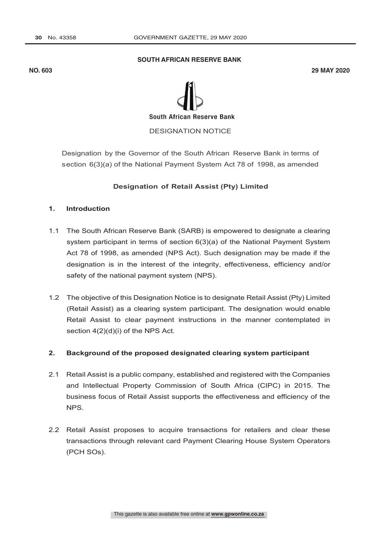#### **SOUTH AFRICAN RESERVE BANK**

**NO. 603 29 MAY 2020**



DESIGNATION NOTICE

Designation by the Governor of the South African Reserve Bank in terms of section 6(3)(a) of the National Payment System Act 78 of 1998, as amended

### **Designation of Retail Assist (Pty) Limited**

#### **1. Introduction**

- 1.1 The South African Reserve Bank (SARB) is empowered to designate a clearing system participant in terms of section 6(3)(a) of the National Payment System Act 78 of 1998, as amended (NPS Act). Such designation may be made if the designation is in the interest of the integrity, effectiveness, efficiency and/or safety of the national payment system (NPS).
- 1.2 The objective of this Designation Notice is to designate Retail Assist (Pty) Limited (Retail Assist) as a clearing system participant. The designation would enable Retail Assist to clear payment instructions in the manner contemplated in section  $4(2)(d)(i)$  of the NPS Act.

### **2. Background of the proposed designated clearing system participant**

- 2.1 Retail Assist is a public company, established and registered with the Companies and Intellectual Property Commission of South Africa (CIPC) in 2015. The business focus of Retail Assist supports the effectiveness and efficiency of the NPS.
- 2.2 Retail Assist proposes to acquire transactions for retailers and clear these transactions through relevant card Payment Clearing House System Operators (PCH SOs).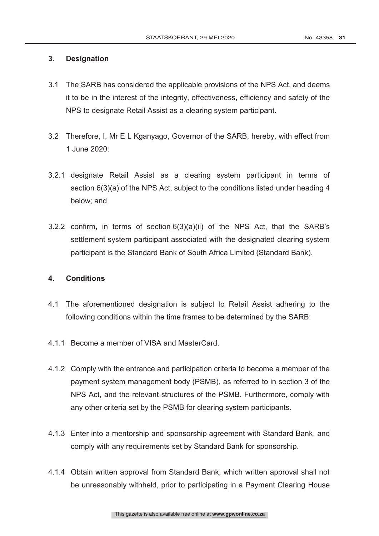## **3. Designation**

- 3.1 The SARB has considered the applicable provisions of the NPS Act, and deems it to be in the interest of the integrity, effectiveness, efficiency and safety of the NPS to designate Retail Assist as a clearing system participant.
- 3.2 Therefore, I, Mr E L Kganyago, Governor of the SARB, hereby, with effect from 1 June 2020:
- 3.2.1 designate Retail Assist as a clearing system participant in terms of section 6(3)(a) of the NPS Act, subject to the conditions listed under heading 4 below; and
- 3.2.2 confirm, in terms of section 6(3)(a)(ii) of the NPS Act, that the SARB's settlement system participant associated with the designated clearing system participant is the Standard Bank of South Africa Limited (Standard Bank).

# **4. Conditions**

- 4.1 The aforementioned designation is subject to Retail Assist adhering to the following conditions within the time frames to be determined by the SARB:
- 4.1.1 Become a member of VISA and MasterCard.
- 4.1.2 Comply with the entrance and participation criteria to become a member of the payment system management body (PSMB), as referred to in section 3 of the NPS Act, and the relevant structures of the PSMB. Furthermore, comply with any other criteria set by the PSMB for clearing system participants.
- 4.1.3 Enter into a mentorship and sponsorship agreement with Standard Bank, and comply with any requirements set by Standard Bank for sponsorship.
- 4.1.4 Obtain written approval from Standard Bank, which written approval shall not be unreasonably withheld, prior to participating in a Payment Clearing House